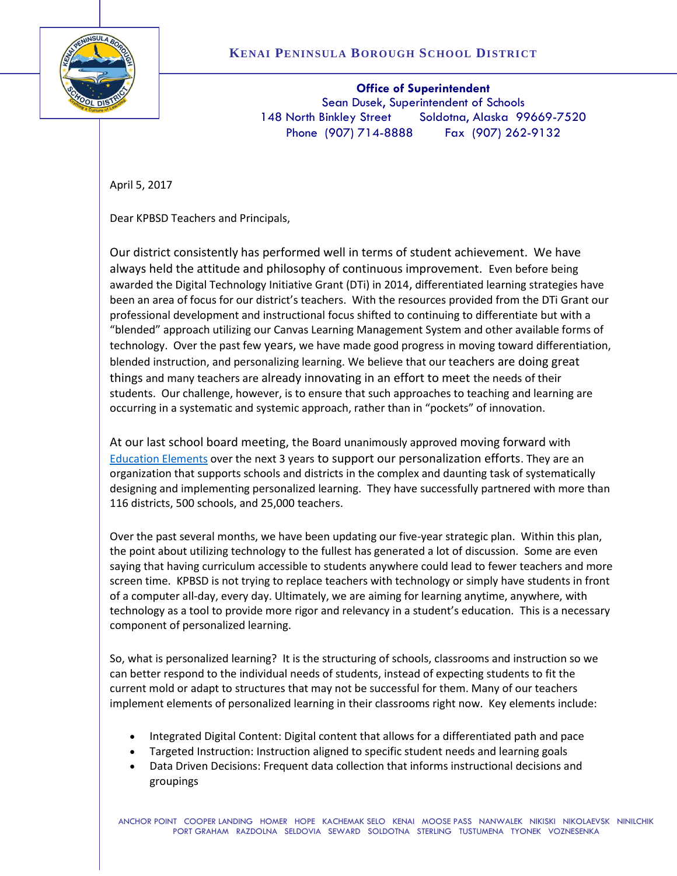

**Office of Superintendent** Sean Dusek, Superintendent of Schools 148 North Binkley Street Soldotna, Alaska 99669-7520 Phone (907) 714-8888 Fax (907) 262-9132

April 5, 2017

Dear KPBSD Teachers and Principals,

Our district consistently has performed well in terms of student achievement. We have always held the attitude and philosophy of continuous improvement. Even before being awarded the Digital Technology Initiative Grant (DTi) in 2014, differentiated learning strategies have been an area of focus for our district's teachers. With the resources provided from the DTi Grant our professional development and instructional focus shifted to continuing to differentiate but with a "blended" approach utilizing our Canvas Learning Management System and other available forms of technology. Over the past few years, we have made good progress in moving toward differentiation, blended instruction, and personalizing learning. We believe that our teachers are doing great things and many teachers are already innovating in an effort to meet the needs of their students. Our challenge, however, is to ensure that such approaches to teaching and learning are occurring in a systematic and systemic approach, rather than in "pockets" of innovation.

At our last school board meeting, the Board unanimously approved moving forward with [Education Elements](https://www.edelements.com/) over the next 3 years to support our personalization efforts. They are an organization that supports schools and districts in the complex and daunting task of systematically designing and implementing personalized learning. They have successfully partnered with more than 116 districts, 500 schools, and 25,000 teachers.

Over the past several months, we have been updating our five-year strategic plan. Within this plan, the point about utilizing technology to the fullest has generated a lot of discussion. Some are even saying that having curriculum accessible to students anywhere could lead to fewer teachers and more screen time. KPBSD is not trying to replace teachers with technology or simply have students in front of a computer all-day, every day. Ultimately, we are aiming for learning anytime, anywhere, with technology as a tool to provide more rigor and relevancy in a student's education. This is a necessary component of personalized learning.

So, what is personalized learning? It is the structuring of schools, classrooms and instruction so we can better respond to the individual needs of students, instead of expecting students to fit the current mold or adapt to structures that may not be successful for them. Many of our teachers implement elements of personalized learning in their classrooms right now. Key elements include:

- Integrated Digital Content: Digital content that allows for a differentiated path and pace
- Targeted Instruction: Instruction aligned to specific student needs and learning goals
- Data Driven Decisions: Frequent data collection that informs instructional decisions and groupings